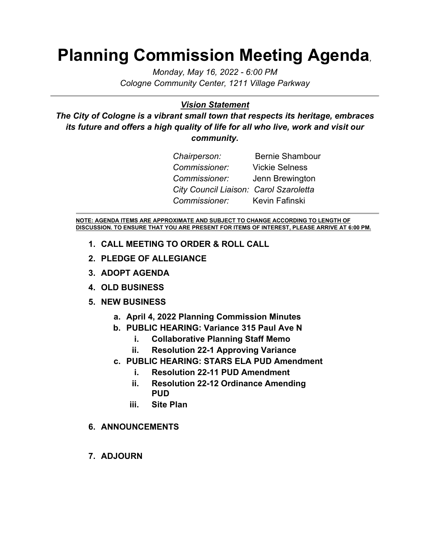## **Planning Commission Meeting Agenda***,*

*Monday, May 16, 2022 - 6:00 PM Cologne Community Center, 1211 Village Parkway*

## *Vision Statement*

*The City of Cologne is a vibrant small town that respects its heritage, embraces its future and offers a high quality of life for all who live, work and visit our community.*

| Chairperson:                           | <b>Bernie Shambour</b> |
|----------------------------------------|------------------------|
| Commissioner:                          | <b>Vickie Selness</b>  |
| Commissioner:                          | Jenn Brewington        |
| City Council Liaison: Carol Szaroletta |                        |
| Commissioner:                          | Kevin Fafinski         |

**NOTE: AGENDA ITEMS ARE APPROXIMATE AND SUBJECT TO CHANGE ACCORDING TO LENGTH OF DISCUSSION. TO ENSURE THAT YOU ARE PRESENT FOR ITEMS OF INTEREST, PLEASE ARRIVE AT 6:00 PM.**

- **1. CALL MEETING TO ORDER & ROLL CALL**
- **2. PLEDGE OF ALLEGIANCE**
- **3. ADOPT AGENDA**
- **4. OLD BUSINESS**
- **5. NEW BUSINESS**
	- **a. April 4, 2022 Planning Commission Minutes**
	- **b. PUBLIC HEARING: Variance 315 Paul Ave N**
		- **i. Collaborative Planning Staff Memo**
		- **ii. Resolution 22-1 Approving Variance**
	- **c. PUBLIC HEARING: STARS ELA PUD Amendment**
		- **i. Resolution 22-11 PUD Amendment**
		- **ii. Resolution 22-12 Ordinance Amending PUD**
		- **iii. Site Plan**
- **6. ANNOUNCEMENTS**
- **7. ADJOURN**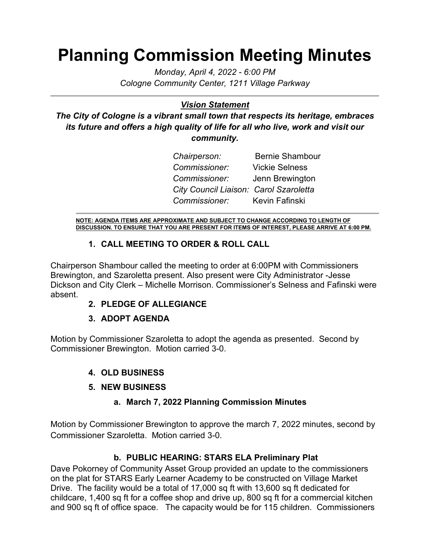## **Planning Commission Meeting Minutes**

*Monday, April 4, 2022 - 6:00 PM Cologne Community Center, 1211 Village Parkway*

## *Vision Statement*

*The City of Cologne is a vibrant small town that respects its heritage, embraces its future and offers a high quality of life for all who live, work and visit our community.*

| Chairperson:                           | <b>Bernie Shambour</b> |
|----------------------------------------|------------------------|
| Commissioner:                          | <b>Vickie Selness</b>  |
| <i>Commissioner:</i>                   | Jenn Brewington        |
| City Council Liaison: Carol Szaroletta |                        |
| Commissioner: Kevin Fafinski           |                        |

**NOTE: AGENDA ITEMS ARE APPROXIMATE AND SUBJECT TO CHANGE ACCORDING TO LENGTH OF DISCUSSION. TO ENSURE THAT YOU ARE PRESENT FOR ITEMS OF INTEREST, PLEASE ARRIVE AT 6:00 PM.**

## **1. CALL MEETING TO ORDER & ROLL CALL**

Chairperson Shambour called the meeting to order at 6:00PM with Commissioners Brewington, and Szaroletta present. Also present were City Administrator -Jesse Dickson and City Clerk – Michelle Morrison. Commissioner's Selness and Fafinski were absent.

## **2. PLEDGE OF ALLEGIANCE**

## **3. ADOPT AGENDA**

Motion by Commissioner Szaroletta to adopt the agenda as presented. Second by Commissioner Brewington. Motion carried 3-0.

- **4. OLD BUSINESS**
- **5. NEW BUSINESS**

## **a. March 7, 2022 Planning Commission Minutes**

Motion by Commissioner Brewington to approve the march 7, 2022 minutes, second by Commissioner Szaroletta. Motion carried 3-0.

## **b. PUBLIC HEARING: STARS ELA Preliminary Plat**

Dave Pokorney of Community Asset Group provided an update to the commissioners on the plat for STARS Early Learner Academy to be constructed on Village Market Drive. The facility would be a total of 17,000 sq ft with 13,600 sq ft dedicated for childcare, 1,400 sq ft for a coffee shop and drive up, 800 sq ft for a commercial kitchen and 900 sq ft of office space. The capacity would be for 115 children. Commissioners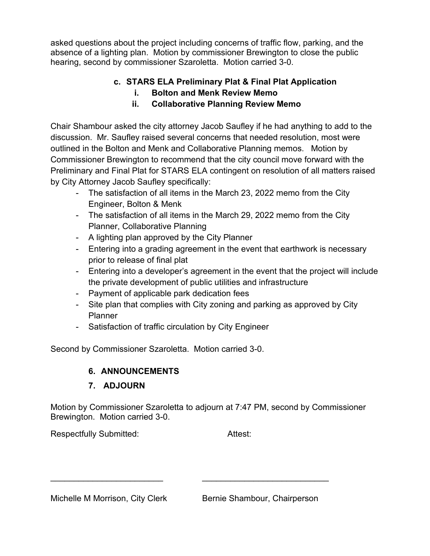asked questions about the project including concerns of traffic flow, parking, and the absence of a lighting plan. Motion by commissioner Brewington to close the public hearing, second by commissioner Szaroletta. Motion carried 3-0.

## **c. STARS ELA Preliminary Plat & Final Plat Application**

- **i. Bolton and Menk Review Memo**
- **ii. Collaborative Planning Review Memo**

Chair Shambour asked the city attorney Jacob Saufley if he had anything to add to the discussion. Mr. Saufley raised several concerns that needed resolution, most were outlined in the Bolton and Menk and Collaborative Planning memos. Motion by Commissioner Brewington to recommend that the city council move forward with the Preliminary and Final Plat for STARS ELA contingent on resolution of all matters raised by City Attorney Jacob Saufley specifically:

- The satisfaction of all items in the March 23, 2022 memo from the City Engineer, Bolton & Menk
- The satisfaction of all items in the March 29, 2022 memo from the City Planner, Collaborative Planning
- A lighting plan approved by the City Planner
- Entering into a grading agreement in the event that earthwork is necessary prior to release of final plat
- Entering into a developer's agreement in the event that the project will include the private development of public utilities and infrastructure
- Payment of applicable park dedication fees
- Site plan that complies with City zoning and parking as approved by City Planner
- Satisfaction of traffic circulation by City Engineer

Second by Commissioner Szaroletta. Motion carried 3-0.

## **6. ANNOUNCEMENTS**

## **7. ADJOURN**

Motion by Commissioner Szaroletta to adjourn at 7:47 PM, second by Commissioner Brewington. Motion carried 3-0.

\_\_\_\_\_\_\_\_\_\_\_\_\_\_\_\_\_\_\_\_\_\_\_\_ \_\_\_\_\_\_\_\_\_\_\_\_\_\_\_\_\_\_\_\_\_\_\_\_\_\_\_

Respectfully Submitted: Attest:

Michelle M Morrison, City Clerk Bernie Shambour, Chairperson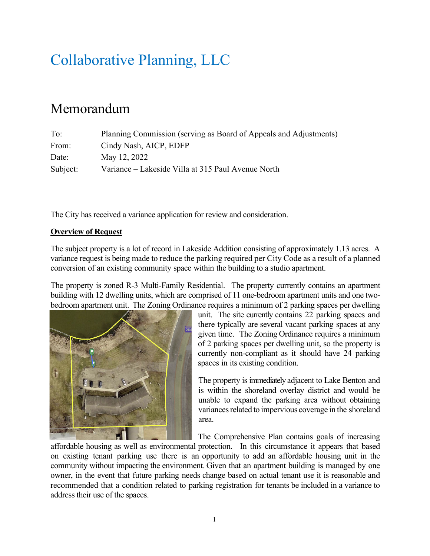## Collaborative Planning, LLC

## Memorandum

| To:      | Planning Commission (serving as Board of Appeals and Adjustments) |
|----------|-------------------------------------------------------------------|
| From:    | Cindy Nash, AICP, EDFP                                            |
| Date:    | May 12, 2022                                                      |
| Subject: | Variance – Lakeside Villa at 315 Paul Avenue North                |

The City has received a variance application for review and consideration.

### **Overview of Request**

The subject property is a lot of record in Lakeside Addition consisting of approximately 1.13 acres. A variance request is being made to reduce the parking required per City Code as a result of a planned conversion of an existing community space within the building to a studio apartment.

The property is zoned R-3 Multi-Family Residential. The property currently contains an apartment building with 12 dwelling units, which are comprised of 11 one-bedroom apartment units and one twobedroom apartment unit. The Zoning Ordinance requires a minimum of 2 parking spaces per dwelling



unit. The site currently contains 22 parking spaces and there typically are several vacant parking spaces at any given time. The Zoning Ordinance requires a minimum of 2 parking spaces per dwelling unit, so the property is currently non-compliant as it should have 24 parking spaces in its existing condition.

The property is immediately adjacent to Lake Benton and is within the shoreland overlay district and would be unable to expand the parking area without obtaining variances related to impervious coverage in the shoreland area.

The Comprehensive Plan contains goals of increasing

affordable housing as well as environmental protection. In this circumstance it appears that based on existing tenant parking use there is an opportunity to add an affordable housing unit in the community without impacting the environment. Given that an apartment building is managed by one owner, in the event that future parking needs change based on actual tenant use it is reasonable and recommended that a condition related to parking registration for tenants be included in a variance to address their use of the spaces.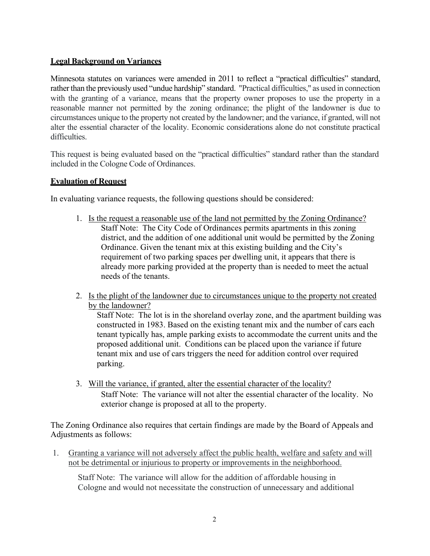## **Legal Background on Variances**

Minnesota statutes on variances were amended in 2011 to reflect a "practical difficulties" standard, rather than the previously used "undue hardship" standard. "Practical difficulties," as used in connection with the granting of a variance, means that the property owner proposes to use the property in a reasonable manner not permitted by the zoning ordinance; the plight of the landowner is due to circumstances unique to the property not created by the landowner; and the variance, if granted, will not alter the essential character of the locality. Economic considerations alone do not constitute practical difficulties.

This request is being evaluated based on the "practical difficulties" standard rather than the standard included in the Cologne Code of Ordinances.

### **Evaluation of Request**

In evaluating variance requests, the following questions should be considered:

- 1. Is the request a reasonable use of the land not permitted by the Zoning Ordinance? Staff Note: The City Code of Ordinances permits apartments in this zoning district, and the addition of one additional unit would be permitted by the Zoning Ordinance. Given the tenant mix at this existing building and the City's requirement of two parking spaces per dwelling unit, it appears that there is already more parking provided at the property than is needed to meet the actual needs of the tenants.
- 2. Is the plight of the landowner due to circumstances unique to the property not created by the landowner?

Staff Note: The lot is in the shoreland overlay zone, and the apartment building was constructed in 1983. Based on the existing tenant mix and the number of cars each tenant typically has, ample parking exists to accommodate the current units and the proposed additional unit. Conditions can be placed upon the variance if future tenant mix and use of cars triggers the need for addition control over required parking.

3. Will the variance, if granted, alter the essential character of the locality? Staff Note: The variance will not alter the essential character of the locality. No exterior change is proposed at all to the property.

The Zoning Ordinance also requires that certain findings are made by the Board of Appeals and Adjustments as follows:

1. Granting a variance will not adversely affect the public health, welfare and safety and will not be detrimental or injurious to property or improvements in the neighborhood.

Staff Note: The variance will allow for the addition of affordable housing in Cologne and would not necessitate the construction of unnecessary and additional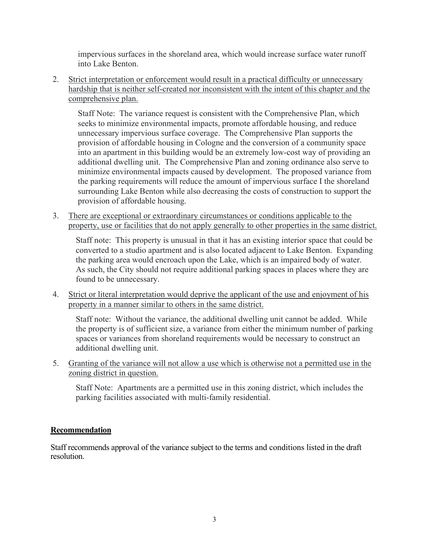impervious surfaces in the shoreland area, which would increase surface water runoff into Lake Benton.

2. Strict interpretation or enforcement would result in a practical difficulty or unnecessary hardship that is neither self-created nor inconsistent with the intent of this chapter and the comprehensive plan.

Staff Note: The variance request is consistent with the Comprehensive Plan, which seeks to minimize environmental impacts, promote affordable housing, and reduce unnecessary impervious surface coverage. The Comprehensive Plan supports the provision of affordable housing in Cologne and the conversion of a community space into an apartment in this building would be an extremely low-cost way of providing an additional dwelling unit. The Comprehensive Plan and zoning ordinance also serve to minimize environmental impacts caused by development. The proposed variance from the parking requirements will reduce the amount of impervious surface I the shoreland surrounding Lake Benton while also decreasing the costs of construction to support the provision of affordable housing.

3. There are exceptional or extraordinary circumstances or conditions applicable to the property, use or facilities that do not apply generally to other properties in the same district.

Staff note: This property is unusual in that it has an existing interior space that could be converted to a studio apartment and is also located adjacent to Lake Benton. Expanding the parking area would encroach upon the Lake, which is an impaired body of water. As such, the City should not require additional parking spaces in places where they are found to be unnecessary.

4. Strict or literal interpretation would deprive the applicant of the use and enjoyment of his property in a manner similar to others in the same district.

Staff note: Without the variance, the additional dwelling unit cannot be added. While the property is of sufficient size, a variance from either the minimum number of parking spaces or variances from shoreland requirements would be necessary to construct an additional dwelling unit.

5. Granting of the variance will not allow a use which is otherwise not a permitted use in the zoning district in question.

Staff Note: Apartments are a permitted use in this zoning district, which includes the parking facilities associated with multi-family residential.

## **Recommendation**

Staff recommends approval of the variance subject to the terms and conditions listed in the draft resolution.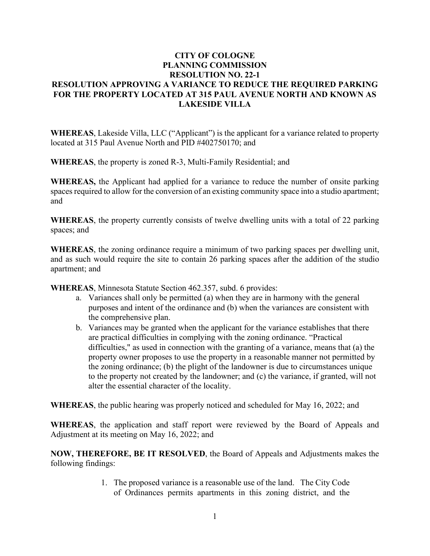## **CITY OF COLOGNE PLANNING COMMISSION RESOLUTION NO. 22-1 RESOLUTION APPROVING A VARIANCE TO REDUCE THE REQUIRED PARKING FOR THE PROPERTY LOCATED AT 315 PAUL AVENUE NORTH AND KNOWN AS LAKESIDE VILLA**

**WHEREAS**, Lakeside Villa, LLC ("Applicant") is the applicant for a variance related to property located at 315 Paul Avenue North and PID #402750170; and

**WHEREAS**, the property is zoned R-3, Multi-Family Residential; and

**WHEREAS,** the Applicant had applied for a variance to reduce the number of onsite parking spaces required to allow for the conversion of an existing community space into a studio apartment; and

**WHEREAS**, the property currently consists of twelve dwelling units with a total of 22 parking spaces; and

**WHEREAS**, the zoning ordinance require a minimum of two parking spaces per dwelling unit, and as such would require the site to contain 26 parking spaces after the addition of the studio apartment; and

**WHEREAS**, Minnesota Statute Section 462.357, subd. 6 provides:

- a. Variances shall only be permitted (a) when they are in harmony with the general purposes and intent of the ordinance and (b) when the variances are consistent with the comprehensive plan.
- b. Variances may be granted when the applicant for the variance establishes that there are practical difficulties in complying with the zoning ordinance. "Practical difficulties," as used in connection with the granting of a variance, means that (a) the property owner proposes to use the property in a reasonable manner not permitted by the zoning ordinance; (b) the plight of the landowner is due to circumstances unique to the property not created by the landowner; and (c) the variance, if granted, will not alter the essential character of the locality.

**WHEREAS**, the public hearing was properly noticed and scheduled for May 16, 2022; and

**WHEREAS**, the application and staff report were reviewed by the Board of Appeals and Adjustment at its meeting on May 16, 2022; and

**NOW, THEREFORE, BE IT RESOLVED**, the Board of Appeals and Adjustments makes the following findings:

> 1. The proposed variance is a reasonable use of the land. The City Code of Ordinances permits apartments in this zoning district, and the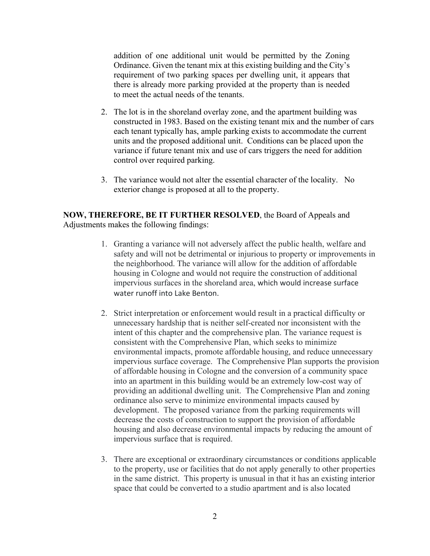addition of one additional unit would be permitted by the Zoning Ordinance. Given the tenant mix at this existing building and the City's requirement of two parking spaces per dwelling unit, it appears that there is already more parking provided at the property than is needed to meet the actual needs of the tenants.

- 2. The lot is in the shoreland overlay zone, and the apartment building was constructed in 1983. Based on the existing tenant mix and the number of cars each tenant typically has, ample parking exists to accommodate the current units and the proposed additional unit. Conditions can be placed upon the variance if future tenant mix and use of cars triggers the need for addition control over required parking.
- 3. The variance would not alter the essential character of the locality. No exterior change is proposed at all to the property.

#### **NOW, THEREFORE, BE IT FURTHER RESOLVED**, the Board of Appeals and Adjustments makes the following findings:

- 1. Granting a variance will not adversely affect the public health, welfare and safety and will not be detrimental or injurious to property or improvements in the neighborhood. The variance will allow for the addition of affordable housing in Cologne and would not require the construction of additional impervious surfaces in the shoreland area, which would increase surface water runoff into Lake Benton.
- 2. Strict interpretation or enforcement would result in a practical difficulty or unnecessary hardship that is neither self-created nor inconsistent with the intent of this chapter and the comprehensive plan. The variance request is consistent with the Comprehensive Plan, which seeks to minimize environmental impacts, promote affordable housing, and reduce unnecessary impervious surface coverage. The Comprehensive Plan supports the provision of affordable housing in Cologne and the conversion of a community space into an apartment in this building would be an extremely low-cost way of providing an additional dwelling unit. The Comprehensive Plan and zoning ordinance also serve to minimize environmental impacts caused by development. The proposed variance from the parking requirements will decrease the costs of construction to support the provision of affordable housing and also decrease environmental impacts by reducing the amount of impervious surface that is required.
- 3. There are exceptional or extraordinary circumstances or conditions applicable to the property, use or facilities that do not apply generally to other properties in the same district. This property is unusual in that it has an existing interior space that could be converted to a studio apartment and is also located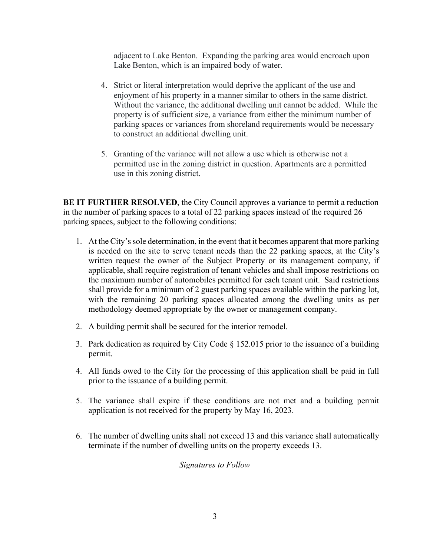adjacent to Lake Benton. Expanding the parking area would encroach upon Lake Benton, which is an impaired body of water.

- 4. Strict or literal interpretation would deprive the applicant of the use and enjoyment of his property in a manner similar to others in the same district. Without the variance, the additional dwelling unit cannot be added. While the property is of sufficient size, a variance from either the minimum number of parking spaces or variances from shoreland requirements would be necessary to construct an additional dwelling unit.
- 5. Granting of the variance will not allow a use which is otherwise not a permitted use in the zoning district in question. Apartments are a permitted use in this zoning district.

**BE IT FURTHER RESOLVED**, the City Council approves a variance to permit a reduction in the number of parking spaces to a total of 22 parking spaces instead of the required 26 parking spaces, subject to the following conditions:

- 1. At the City's sole determination, in the event that it becomes apparent that more parking is needed on the site to serve tenant needs than the 22 parking spaces, at the City's written request the owner of the Subject Property or its management company, if applicable, shall require registration of tenant vehicles and shall impose restrictions on the maximum number of automobiles permitted for each tenant unit. Said restrictions shall provide for a minimum of 2 guest parking spaces available within the parking lot, with the remaining 20 parking spaces allocated among the dwelling units as per methodology deemed appropriate by the owner or management company.
- 2. A building permit shall be secured for the interior remodel.
- 3. Park dedication as required by City Code § 152.015 prior to the issuance of a building permit.
- 4. All funds owed to the City for the processing of this application shall be paid in full prior to the issuance of a building permit.
- 5. The variance shall expire if these conditions are not met and a building permit application is not received for the property by May 16, 2023.
- 6. The number of dwelling units shall not exceed 13 and this variance shall automatically terminate if the number of dwelling units on the property exceeds 13.

#### *Signatures to Follow*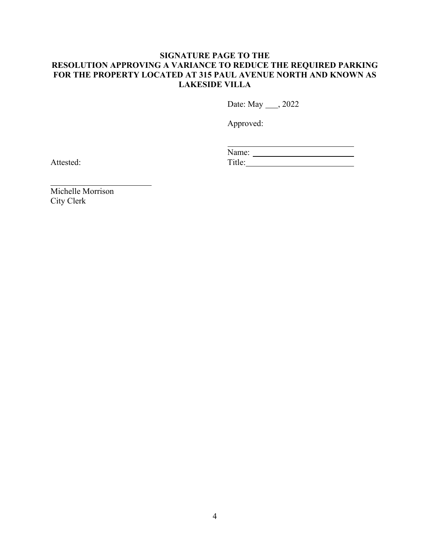### **SIGNATURE PAGE TO THE RESOLUTION APPROVING A VARIANCE TO REDUCE THE REQUIRED PARKING FOR THE PROPERTY LOCATED AT 315 PAUL AVENUE NORTH AND KNOWN AS LAKESIDE VILLA**

Date: May \_\_\_\_, 2022

Approved:

| Name:                    |  |
|--------------------------|--|
| $\operatorname{Title^*}$ |  |

Attested:

Michelle Morrison City Clerk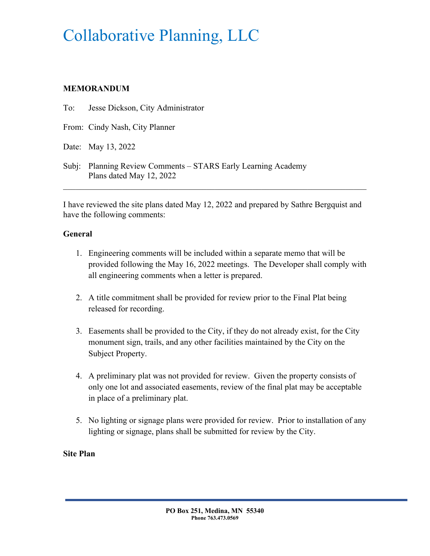## Collaborative Planning, LLC

## **MEMORANDUM**

To: Jesse Dickson, City Administrator

From: Cindy Nash, City Planner

Date: May 13, 2022

Subj: Planning Review Comments – STARS Early Learning Academy Plans dated May 12, 2022

I have reviewed the site plans dated May 12, 2022 and prepared by Sathre Bergquist and have the following comments:

## **General**

- 1. Engineering comments will be included within a separate memo that will be provided following the May 16, 2022 meetings. The Developer shall comply with all engineering comments when a letter is prepared.
- 2. A title commitment shall be provided for review prior to the Final Plat being released for recording.
- 3. Easements shall be provided to the City, if they do not already exist, for the City monument sign, trails, and any other facilities maintained by the City on the Subject Property.
- 4. A preliminary plat was not provided for review. Given the property consists of only one lot and associated easements, review of the final plat may be acceptable in place of a preliminary plat.
- 5. No lighting or signage plans were provided for review. Prior to installation of any lighting or signage, plans shall be submitted for review by the City.

## **Site Plan**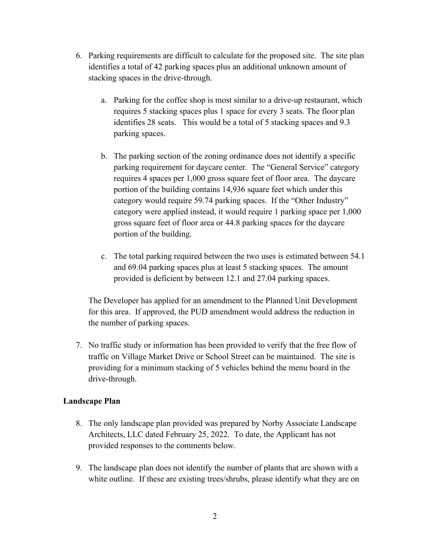- 6. Parking requirements are difficult to calculate for the proposed site. The site plan identifies a total of 42 parking spaces plus an additional unknown amount of stacking spaces in the drive-through.
	- a. Parking for the coffee shop is most similar to a drive-up restaurant, which requires 5 stacking spaces plus 1 space for every 3 seats. The floor plan identifies 28 seats. This would be a total of 5 stacking spaces and 9.3 parking spaces.
	- b. The parking section of the zoning ordinance does not identify a specific parking requirement for daycare center. The "General Service" category requires 4 spaces per 1,000 gross square feet of floor area. The daycare portion of the building contains 14,936 square feet which under this category would require 59.74 parking spaces. If the "Other Industry" category were applied instead, it would require 1 parking space per 1,000 gross square feet of floor area or 44.8 parking spaces for the daycare portion of the building.
	- c. The total parking required between the two uses is estimated between 54.1 and 69.04 parking spaces plus at least 5 stacking spaces. The amount provided is deficient by between 12.1 and 27.04 parking spaces.

The Developer has applied for an amendment to the Planned Unit Development for this area. If approved, the PUD amendment would address the reduction in the number of parking spaces.

7. No traffic study or information has been provided to verify that the free flow of traffic on Village Market Drive or School Street can be maintained. The site is providing for a minimum stacking of 5 vehicles behind the menu board in the drive-through.

#### **Landscape Plan**

- 8. The only landscape plan provided was prepared by Norby Associate Landscape Architects, LLC dated February 25, 2022. To date, the Applicant has not provided responses to the comments below.
- 9. The landscape plan does not identify the number of plants that are shown with a white outline. If these are existing trees/shrubs, please identify what they are on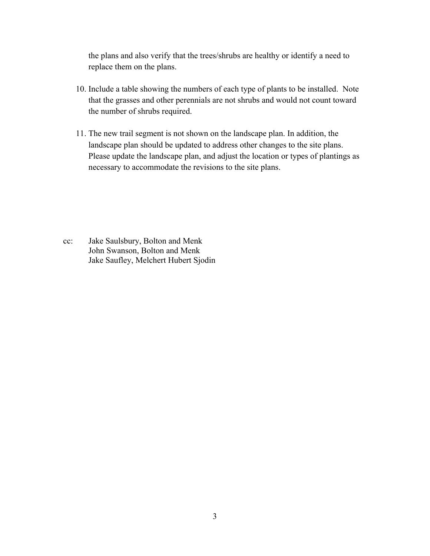the plans and also verify that the trees/shrubs are healthy or identify a need to replace them on the plans.

- 10. Include a table showing the numbers of each type of plants to be installed. Note that the grasses and other perennials are not shrubs and would not count toward the number of shrubs required.
- 11. The new trail segment is not shown on the landscape plan. In addition, the landscape plan should be updated to address other changes to the site plans. Please update the landscape plan, and adjust the location or types of plantings as necessary to accommodate the revisions to the site plans.

cc: Jake Saulsbury, Bolton and Menk John Swanson, Bolton and Menk Jake Saufley, Melchert Hubert Sjodin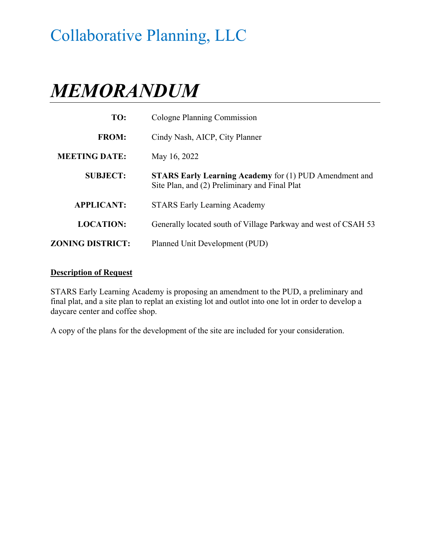## Collaborative Planning, LLC

# *MEMORANDUM*

| TO:                     | Cologne Planning Commission                                                                                    |  |
|-------------------------|----------------------------------------------------------------------------------------------------------------|--|
| <b>FROM:</b>            | Cindy Nash, AICP, City Planner                                                                                 |  |
| <b>MEETING DATE:</b>    | May 16, 2022                                                                                                   |  |
| <b>SUBJECT:</b>         | <b>STARS Early Learning Academy for (1) PUD Amendment and</b><br>Site Plan, and (2) Preliminary and Final Plat |  |
| <b>APPLICANT:</b>       | <b>STARS Early Learning Academy</b>                                                                            |  |
| <b>LOCATION:</b>        | Generally located south of Village Parkway and west of CSAH 53                                                 |  |
| <b>ZONING DISTRICT:</b> | Planned Unit Development (PUD)                                                                                 |  |

#### **Description of Request**

STARS Early Learning Academy is proposing an amendment to the PUD, a preliminary and final plat, and a site plan to replat an existing lot and outlot into one lot in order to develop a daycare center and coffee shop.

A copy of the plans for the development of the site are included for your consideration.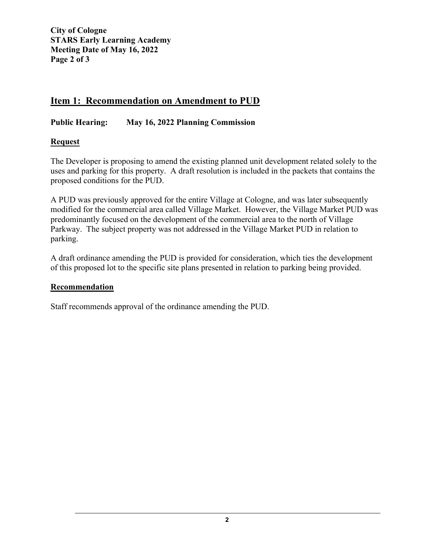**City of Cologne STARS Early Learning Academy Meeting Date of May 16, 2022 Page 2 of 3** 

## **Item 1: Recommendation on Amendment to PUD**

**Public Hearing: May 16, 2022 Planning Commission** 

## **Request**

The Developer is proposing to amend the existing planned unit development related solely to the uses and parking for this property. A draft resolution is included in the packets that contains the proposed conditions for the PUD.

A PUD was previously approved for the entire Village at Cologne, and was later subsequently modified for the commercial area called Village Market. However, the Village Market PUD was predominantly focused on the development of the commercial area to the north of Village Parkway. The subject property was not addressed in the Village Market PUD in relation to parking.

A draft ordinance amending the PUD is provided for consideration, which ties the development of this proposed lot to the specific site plans presented in relation to parking being provided.

## **Recommendation**

Staff recommends approval of the ordinance amending the PUD.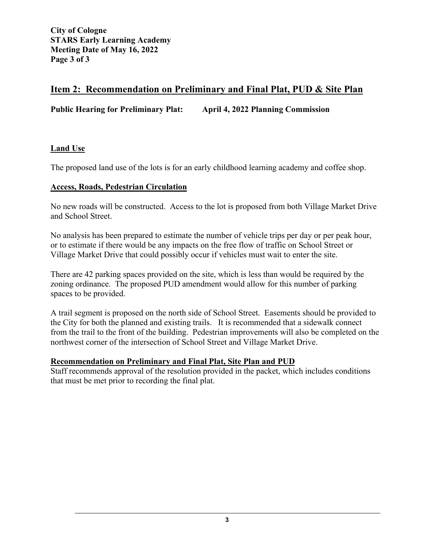## **Item 2: Recommendation on Preliminary and Final Plat, PUD & Site Plan**

**Public Hearing for Preliminary Plat: April 4, 2022 Planning Commission** 

## **Land Use**

The proposed land use of the lots is for an early childhood learning academy and coffee shop.

## **Access, Roads, Pedestrian Circulation**

No new roads will be constructed. Access to the lot is proposed from both Village Market Drive and School Street.

No analysis has been prepared to estimate the number of vehicle trips per day or per peak hour, or to estimate if there would be any impacts on the free flow of traffic on School Street or Village Market Drive that could possibly occur if vehicles must wait to enter the site.

There are 42 parking spaces provided on the site, which is less than would be required by the zoning ordinance. The proposed PUD amendment would allow for this number of parking spaces to be provided.

A trail segment is proposed on the north side of School Street. Easements should be provided to the City for both the planned and existing trails. It is recommended that a sidewalk connect from the trail to the front of the building. Pedestrian improvements will also be completed on the northwest corner of the intersection of School Street and Village Market Drive.

## **Recommendation on Preliminary and Final Plat, Site Plan and PUD**

Staff recommends approval of the resolution provided in the packet, which includes conditions that must be met prior to recording the final plat.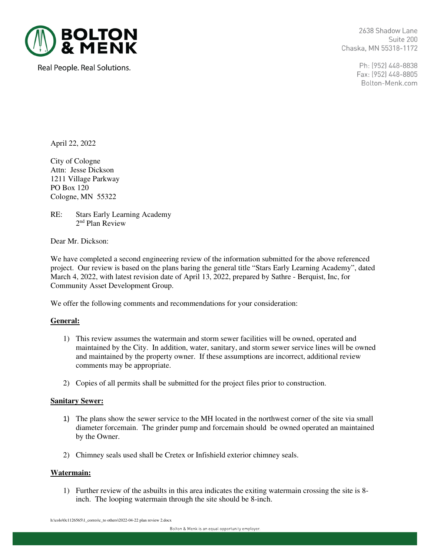

Real People. Real Solutions.

2638 Shadow Lane Suite 200 Chaska, MN 55318-1172

> Ph: (952) 448-8838 Fax: (952) 448-8805 Bolton-Menk.com

April 22, 2022

City of Cologne Attn: Jesse Dickson 1211 Village Parkway PO Box 120 Cologne, MN 55322

RE: Stars Early Learning Academy 2nd Plan Review

Dear Mr. Dickson:

We have completed a second engineering review of the information submitted for the above referenced project. Our review is based on the plans baring the general title "Stars Early Learning Academy", dated March 4, 2022, with latest revision date of April 13, 2022, prepared by Sathre - Berquist, Inc, for Community Asset Development Group.

We offer the following comments and recommendations for your consideration:

#### **General:**

- 1) This review assumes the watermain and storm sewer facilities will be owned, operated and maintained by the City. In addition, water, sanitary, and storm sewer service lines will be owned and maintained by the property owner. If these assumptions are incorrect, additional review comments may be appropriate.
- 2) Copies of all permits shall be submitted for the project files prior to construction.

#### **Sanitary Sewer:**

- 1) The plans show the sewer service to the MH located in the northwest corner of the site via small diameter forcemain. The grinder pump and forcemain should be owned operated an maintained by the Owner.
- 2) Chimney seals used shall be Cretex or Infishield exterior chimney seals.

#### **Watermain:**

1) Further review of the asbuilts in this area indicates the exiting watermain crossing the site is 8 inch. The looping watermain through the site should be 8-inch.

h:\colo\0c1126565\1\_corres\c\_to others\2022-04-22 plan review 2.docx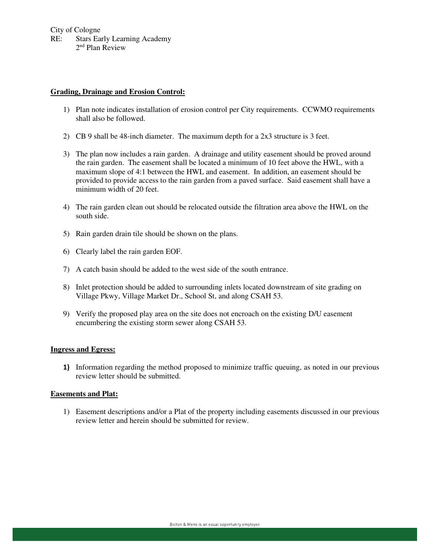City of Cologne RE: Stars Early Learning Academy 2nd Plan Review

#### **Grading, Drainage and Erosion Control:**

- 1) Plan note indicates installation of erosion control per City requirements. CCWMO requirements shall also be followed.
- 2) CB 9 shall be 48-inch diameter. The maximum depth for a 2x3 structure is 3 feet.
- 3) The plan now includes a rain garden. A drainage and utility easement should be proved around the rain garden. The easement shall be located a minimum of 10 feet above the HWL, with a maximum slope of 4:1 between the HWL and easement. In addition, an easement should be provided to provide access to the rain garden from a paved surface. Said easement shall have a minimum width of 20 feet.
- 4) The rain garden clean out should be relocated outside the filtration area above the HWL on the south side.
- 5) Rain garden drain tile should be shown on the plans.
- 6) Clearly label the rain garden EOF.
- 7) A catch basin should be added to the west side of the south entrance.
- 8) Inlet protection should be added to surrounding inlets located downstream of site grading on Village Pkwy, Village Market Dr., School St, and along CSAH 53.
- 9) Verify the proposed play area on the site does not encroach on the existing D/U easement encumbering the existing storm sewer along CSAH 53.

#### **Ingress and Egress:**

1) Information regarding the method proposed to minimize traffic queuing, as noted in our previous review letter should be submitted.

#### **Easements and Plat:**

1) Easement descriptions and/or a Plat of the property including easements discussed in our previous review letter and herein should be submitted for review.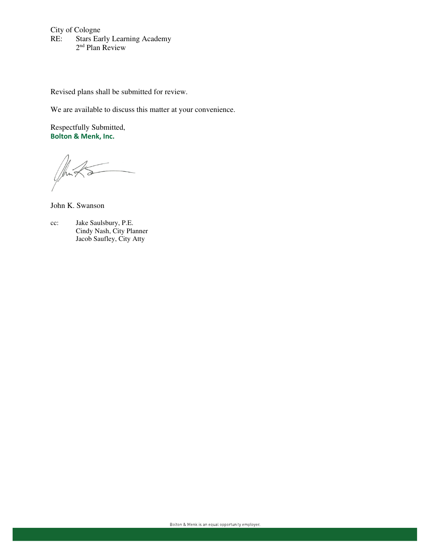City of Cologne<br>RE: Stars Ear Stars Early Learning Academy 2<sup>nd</sup> Plan Review

Revised plans shall be submitted for review.

We are available to discuss this matter at your convenience.

Respectfully Submitted, Bolton & Menk, Inc.

John K. Swanson

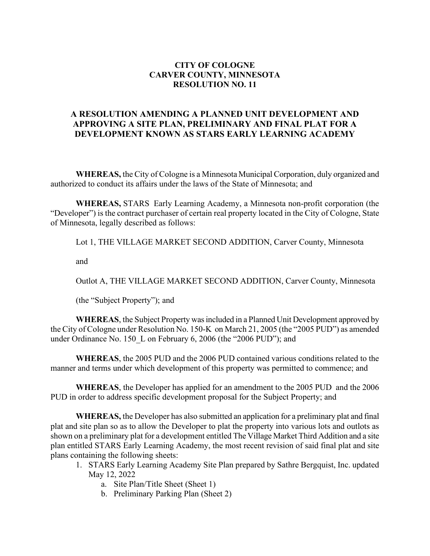### **CITY OF COLOGNE CARVER COUNTY, MINNESOTA RESOLUTION NO. 11**

## **A RESOLUTION AMENDING A PLANNED UNIT DEVELOPMENT AND APPROVING A SITE PLAN, PRELIMINARY AND FINAL PLAT FOR A DEVELOPMENT KNOWN AS STARS EARLY LEARNING ACADEMY**

**WHEREAS,** the City of Cologne is a Minnesota Municipal Corporation, duly organized and authorized to conduct its affairs under the laws of the State of Minnesota; and

**WHEREAS,** STARS Early Learning Academy, a Minnesota non-profit corporation (the "Developer") is the contract purchaser of certain real property located in the City of Cologne, State of Minnesota, legally described as follows:

Lot 1, THE VILLAGE MARKET SECOND ADDITION, Carver County, Minnesota

and

Outlot A, THE VILLAGE MARKET SECOND ADDITION, Carver County, Minnesota

(the "Subject Property"); and

**WHEREAS**, the Subject Property was included in a Planned Unit Development approved by the City of Cologne under Resolution No. 150-K on March 21, 2005 (the "2005 PUD") as amended under Ordinance No. 150 L on February 6, 2006 (the "2006 PUD"); and

**WHEREAS**, the 2005 PUD and the 2006 PUD contained various conditions related to the manner and terms under which development of this property was permitted to commence; and

**WHEREAS**, the Developer has applied for an amendment to the 2005 PUD and the 2006 PUD in order to address specific development proposal for the Subject Property; and

**WHEREAS,** the Developer has also submitted an application for a preliminary plat and final plat and site plan so as to allow the Developer to plat the property into various lots and outlots as shown on a preliminary plat for a development entitled The Village Market Third Addition and a site plan entitled STARS Early Learning Academy, the most recent revision of said final plat and site plans containing the following sheets:

- 1. STARS Early Learning Academy Site Plan prepared by Sathre Bergquist, Inc. updated May 12, 2022
	- a. Site Plan/Title Sheet (Sheet 1)
	- b. Preliminary Parking Plan (Sheet 2)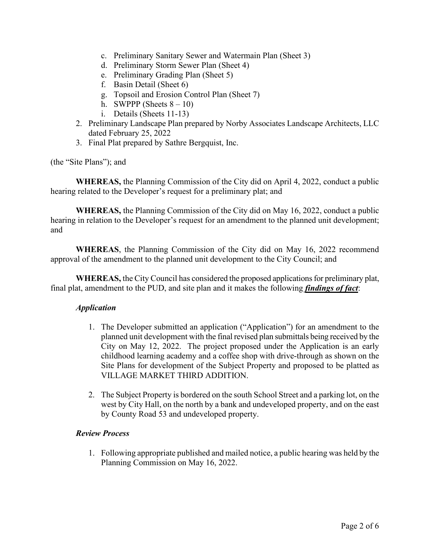- c. Preliminary Sanitary Sewer and Watermain Plan (Sheet 3)
- d. Preliminary Storm Sewer Plan (Sheet 4)
- e. Preliminary Grading Plan (Sheet 5)
- f. Basin Detail (Sheet 6)
- g. Topsoil and Erosion Control Plan (Sheet 7)
- h. SWPPP (Sheets  $8 10$ )
- i. Details (Sheets 11-13)
- 2. Preliminary Landscape Plan prepared by Norby Associates Landscape Architects, LLC dated February 25, 2022
- 3. Final Plat prepared by Sathre Bergquist, Inc.

(the "Site Plans"); and

**WHEREAS,** the Planning Commission of the City did on April 4, 2022, conduct a public hearing related to the Developer's request for a preliminary plat; and

**WHEREAS,** the Planning Commission of the City did on May 16, 2022, conduct a public hearing in relation to the Developer's request for an amendment to the planned unit development; and

**WHEREAS**, the Planning Commission of the City did on May 16, 2022 recommend approval of the amendment to the planned unit development to the City Council; and

**WHEREAS,** the City Council has considered the proposed applications for preliminary plat, final plat, amendment to the PUD, and site plan and it makes the following *findings of fact*:

#### *Application*

- 1. The Developer submitted an application ("Application") for an amendment to the planned unit development with the final revised plan submittals being received by the City on May 12, 2022. The project proposed under the Application is an early childhood learning academy and a coffee shop with drive-through as shown on the Site Plans for development of the Subject Property and proposed to be platted as VILLAGE MARKET THIRD ADDITION.
- 2. The Subject Property is bordered on the south School Street and a parking lot, on the west by City Hall, on the north by a bank and undeveloped property, and on the east by County Road 53 and undeveloped property.

#### *Review Process*

1. Following appropriate published and mailed notice, a public hearing was held by the Planning Commission on May 16, 2022.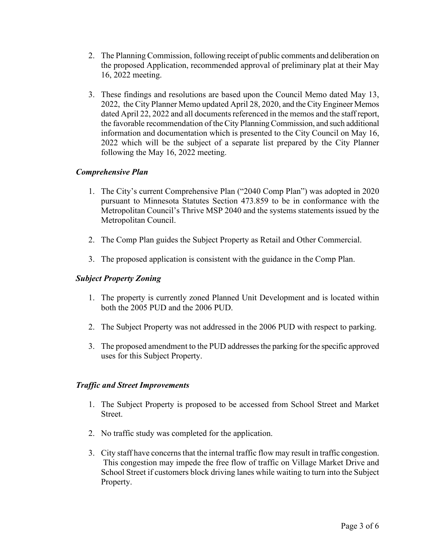- 2. The Planning Commission, following receipt of public comments and deliberation on the proposed Application, recommended approval of preliminary plat at their May 16, 2022 meeting.
- 3. These findings and resolutions are based upon the Council Memo dated May 13, 2022, the City Planner Memo updated April 28, 2020, and the City Engineer Memos dated April 22, 2022 and all documents referenced in the memos and the staff report, the favorable recommendation of the City Planning Commission, and such additional information and documentation which is presented to the City Council on May 16, 2022 which will be the subject of a separate list prepared by the City Planner following the May 16, 2022 meeting.

## *Comprehensive Plan*

- 1. The City's current Comprehensive Plan ("2040 Comp Plan") was adopted in 2020 pursuant to Minnesota Statutes Section 473.859 to be in conformance with the Metropolitan Council's Thrive MSP 2040 and the systems statements issued by the Metropolitan Council.
- 2. The Comp Plan guides the Subject Property as Retail and Other Commercial.
- 3. The proposed application is consistent with the guidance in the Comp Plan.

#### *Subject Property Zoning*

- 1. The property is currently zoned Planned Unit Development and is located within both the 2005 PUD and the 2006 PUD.
- 2. The Subject Property was not addressed in the 2006 PUD with respect to parking.
- 3. The proposed amendment to the PUD addresses the parking for the specific approved uses for this Subject Property.

#### *Traffic and Street Improvements*

- 1. The Subject Property is proposed to be accessed from School Street and Market Street.
- 2. No traffic study was completed for the application.
- 3. City staff have concerns that the internal traffic flow may result in traffic congestion. This congestion may impede the free flow of traffic on Village Market Drive and School Street if customers block driving lanes while waiting to turn into the Subject Property.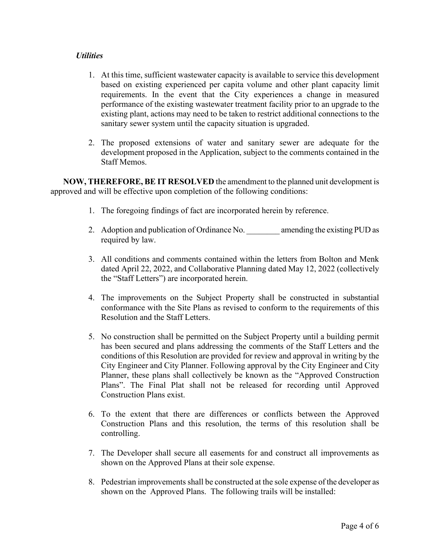### *Utilities*

- 1. At this time, sufficient wastewater capacity is available to service this development based on existing experienced per capita volume and other plant capacity limit requirements. In the event that the City experiences a change in measured performance of the existing wastewater treatment facility prior to an upgrade to the existing plant, actions may need to be taken to restrict additional connections to the sanitary sewer system until the capacity situation is upgraded.
- 2. The proposed extensions of water and sanitary sewer are adequate for the development proposed in the Application, subject to the comments contained in the Staff Memos.

**NOW, THEREFORE, BE IT RESOLVED** the amendment to the planned unit development is approved and will be effective upon completion of the following conditions:

- 1. The foregoing findings of fact are incorporated herein by reference.
- 2. Adoption and publication of Ordinance No. **amending the existing PUD** as required by law.
- 3. All conditions and comments contained within the letters from Bolton and Menk dated April 22, 2022, and Collaborative Planning dated May 12, 2022 (collectively the "Staff Letters") are incorporated herein.
- 4. The improvements on the Subject Property shall be constructed in substantial conformance with the Site Plans as revised to conform to the requirements of this Resolution and the Staff Letters.
- 5. No construction shall be permitted on the Subject Property until a building permit has been secured and plans addressing the comments of the Staff Letters and the conditions of this Resolution are provided for review and approval in writing by the City Engineer and City Planner. Following approval by the City Engineer and City Planner, these plans shall collectively be known as the "Approved Construction Plans". The Final Plat shall not be released for recording until Approved Construction Plans exist.
- 6. To the extent that there are differences or conflicts between the Approved Construction Plans and this resolution, the terms of this resolution shall be controlling.
- 7. The Developer shall secure all easements for and construct all improvements as shown on the Approved Plans at their sole expense.
- 8. Pedestrian improvements shall be constructed at the sole expense of the developer as shown on the Approved Plans. The following trails will be installed: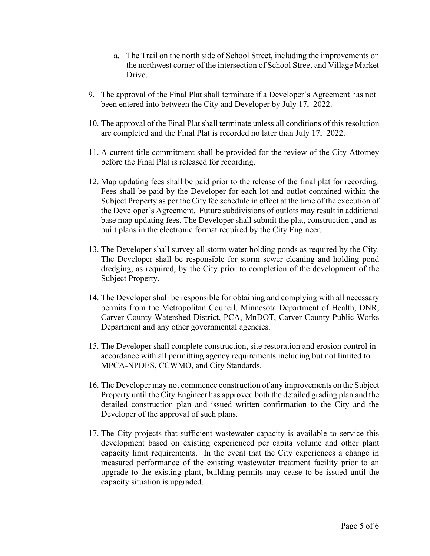- a. The Trail on the north side of School Street, including the improvements on the northwest corner of the intersection of School Street and Village Market Drive.
- 9. The approval of the Final Plat shall terminate if a Developer's Agreement has not been entered into between the City and Developer by July 17, 2022.
- 10. The approval of the Final Plat shall terminate unless all conditions of this resolution are completed and the Final Plat is recorded no later than July 17, 2022.
- 11. A current title commitment shall be provided for the review of the City Attorney before the Final Plat is released for recording.
- 12. Map updating fees shall be paid prior to the release of the final plat for recording. Fees shall be paid by the Developer for each lot and outlot contained within the Subject Property as per the City fee schedule in effect at the time of the execution of the Developer's Agreement. Future subdivisions of outlots may result in additional base map updating fees. The Developer shall submit the plat, construction , and asbuilt plans in the electronic format required by the City Engineer.
- 13. The Developer shall survey all storm water holding ponds as required by the City. The Developer shall be responsible for storm sewer cleaning and holding pond dredging, as required, by the City prior to completion of the development of the Subject Property.
- 14. The Developer shall be responsible for obtaining and complying with all necessary permits from the Metropolitan Council, Minnesota Department of Health, DNR, Carver County Watershed District, PCA, MnDOT, Carver County Public Works Department and any other governmental agencies.
- 15. The Developer shall complete construction, site restoration and erosion control in accordance with all permitting agency requirements including but not limited to MPCA-NPDES, CCWMO, and City Standards.
- 16. The Developer may not commence construction of any improvements on the Subject Property until the City Engineer has approved both the detailed grading plan and the detailed construction plan and issued written confirmation to the City and the Developer of the approval of such plans.
- 17. The City projects that sufficient wastewater capacity is available to service this development based on existing experienced per capita volume and other plant capacity limit requirements. In the event that the City experiences a change in measured performance of the existing wastewater treatment facility prior to an upgrade to the existing plant, building permits may cease to be issued until the capacity situation is upgraded.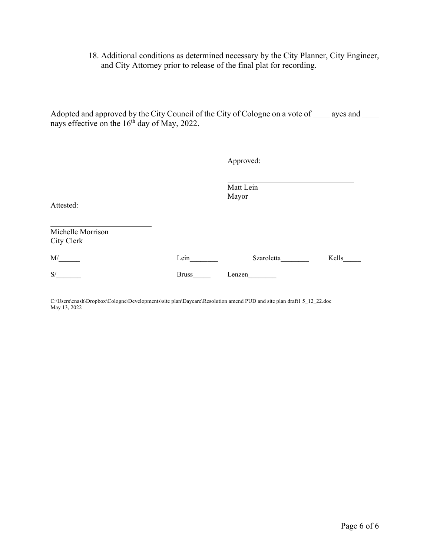## 18. Additional conditions as determined necessary by the City Planner, City Engineer, and City Attorney prior to release of the final plat for recording.

Adopted and approved by the City Council of the City of Cologne on a vote of early ayes and nays effective on the 16<sup>th</sup> day of May, 2022.

Approved:

Matt Lein Mayor

Attested:

Michelle Morrison City Clerk

| M/ | ein_  | Szaroletta | Kells |
|----|-------|------------|-------|
| S/ | Bruss | enzen      |       |

C:\Users\cnash\Dropbox\Cologne\Developments\site plan\Daycare\Resolution amend PUD and site plan draft1 5\_12\_22.doc May 13, 2022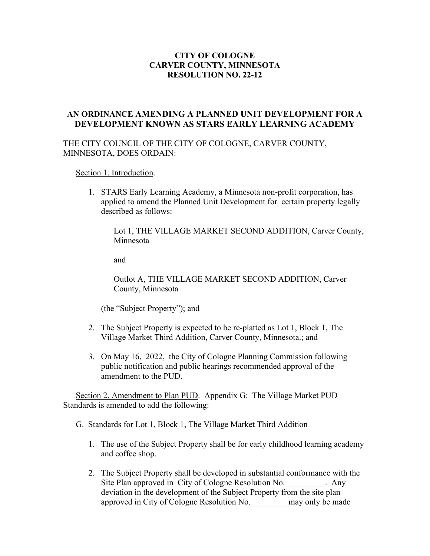## **CITY OF COLOGNE CARVER COUNTY, MINNESOTA RESOLUTION NO. 22-12**

## **AN ORDINANCE AMENDING A PLANNED UNIT DEVELOPMENT FOR A DEVELOPMENT KNOWN AS STARS EARLY LEARNING ACADEMY**

### THE CITY COUNCIL OF THE CITY OF COLOGNE, CARVER COUNTY, MINNESOTA, DOES ORDAIN:

Section 1. Introduction.

1. STARS Early Learning Academy, a Minnesota non-profit corporation, has applied to amend the Planned Unit Development for certain property legally described as follows:

Lot 1, THE VILLAGE MARKET SECOND ADDITION, Carver County, Minnesota

and

Outlot A, THE VILLAGE MARKET SECOND ADDITION, Carver County, Minnesota

(the "Subject Property"); and

- 2. The Subject Property is expected to be re-platted as Lot 1, Block 1, The Village Market Third Addition, Carver County, Minnesota.; and
- 3. On May 16, 2022, the City of Cologne Planning Commission following public notification and public hearings recommended approval of the amendment to the PUD.

Section 2. Amendment to Plan PUD. Appendix G: The Village Market PUD Standards is amended to add the following:

G. Standards for Lot 1, Block 1, The Village Market Third Addition

- 1. The use of the Subject Property shall be for early childhood learning academy and coffee shop.
- 2. The Subject Property shall be developed in substantial conformance with the Site Plan approved in City of Cologne Resolution No. 4hy deviation in the development of the Subject Property from the site plan approved in City of Cologne Resolution No. \_\_\_\_\_\_\_\_ may only be made